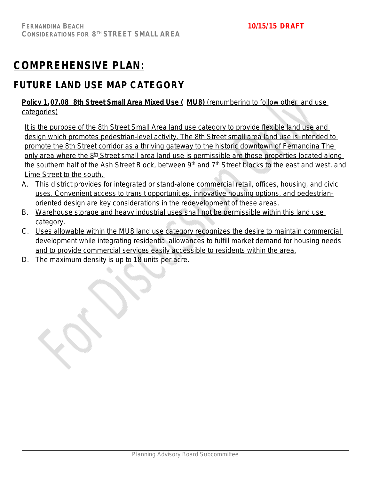# **COMPREHENSIVE PLAN:**

# **FUTURE LAND USE MAP CATEGORY**

## **Policy 1. 07.08 8th Street Small Area Mixed Use ( MU8)** (renumbering to follow other land use categories)

It is the purpose of the 8th Street Small Area land use category to provide flexible land use and design which promotes pedestrian-level activity. The 8th Street small area land use is intended to promote the 8th Street corridor as a thriving gateway to the historic downtown of Fernandina The only area where the  $8<sup>th</sup>$  Street small area land use is permissible are those properties located along the southern half of the Ash Street Block, between 9<sup>th</sup> and 7<sup>th</sup> Street blocks to the east and west, and Lime Street to the south.

- A. This district provides for integrated or stand-alone commercial retail, offices, housing, and civic uses. Convenient access to transit opportunities, innovative housing options, and pedestrianoriented design are key considerations in the redevelopment of these areas.
- B. Warehouse storage and heavy industrial uses shall not be permissible within this land use category.
- C. Uses allowable within the MU8 land use category recognizes the desire to maintain commercial development while integrating residential allowances to fulfill market demand for housing needs and to provide commercial services easily accessible to residents within the area.
- D. The maximum density is up to 18 units per acre.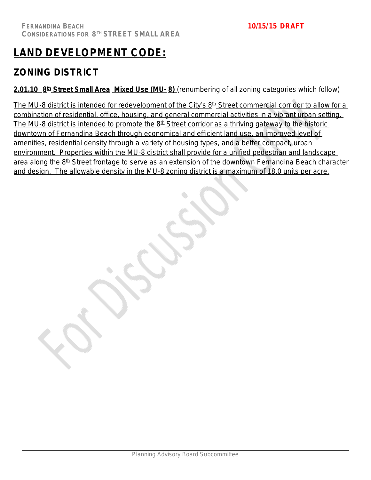# **LAND DEVELOPMENT CODE:**

# **ZONING DISTRICT**

**2.01.10 8 th Street Small Area Mixed Use (MU- 8)** *(renumbering of all zoning categories which follow)*

The MU-8 district is intended for redevelopment of the City's 8<sup>th</sup> Street commercial corridor to allow for a combination of residential, office, housing, and general commercial activities in a vibrant urban setting. The MU-8 district is intended to promote the  $8<sup>th</sup>$  Street corridor as a thriving gateway to the historic downtown of Fernandina Beach through economical and efficient land use, an improved level of amenities, residential density through a variety of housing types, and a better compact, urban environment. Properties within the MU-8 district shall provide for a unified pedestrian and landscape area along the 8<sup>th</sup> Street frontage to serve as an extension of the downtown Fernandina Beach character and design. The allowable density in the MU-8 zoning district is a maximum of 18.0 units per acre.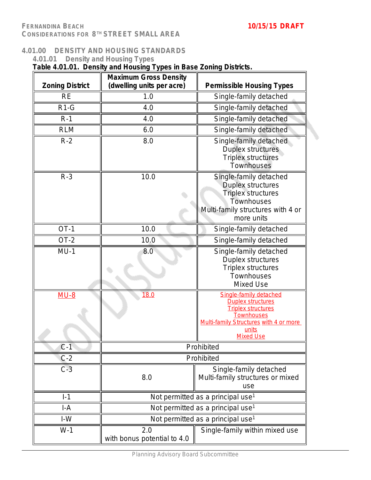### **4.01.00 DENSITY AND HOUSING STANDARDS**

| 4.01.01                | <b>Density and Housing Types</b><br>Table 4.01.01. Density and Housing Types in Base Zoning Districts. |                                                                                                                                                                                    |
|------------------------|--------------------------------------------------------------------------------------------------------|------------------------------------------------------------------------------------------------------------------------------------------------------------------------------------|
| <b>Zoning District</b> | <b>Maximum Gross Density</b><br>(dwelling units per acre)                                              | <b>Permissible Housing Types</b>                                                                                                                                                   |
| <b>RE</b>              | 1.0                                                                                                    | Single-family detached                                                                                                                                                             |
| $R1-G$                 | 4.0                                                                                                    | Single-family detached                                                                                                                                                             |
| $R-1$                  | 4.0                                                                                                    | Single-family detached                                                                                                                                                             |
| <b>RLM</b>             | 6.0                                                                                                    | Single-family detached                                                                                                                                                             |
| $R-2$                  | 8.0                                                                                                    | Single-family detached<br>Duplex structures<br><b>Triplex structures</b><br>Townhouses                                                                                             |
| $R-3$                  | 10.0                                                                                                   | Single-family detached<br><b>Duplex structures</b><br><b>Triplex structures</b><br>Townhouses<br>Multi-family structures with 4 or<br>more units                                   |
| $OT-1$                 | 10.0                                                                                                   | Single-family detached                                                                                                                                                             |
| $OT-2$                 | 10.0                                                                                                   | Single-family detached                                                                                                                                                             |
| $MU-1$                 | 8.0                                                                                                    | Single-family detached<br>Duplex structures<br>Triplex structures<br>Townhouses<br>Mixed Use                                                                                       |
| $MU-8$                 | 18.0                                                                                                   | Single-family detached<br><b>Duplex structures</b><br><b>Triplex structures</b><br><b>Townhouses</b><br>Multi-family Structures with 4 or more<br><u>units</u><br><b>Mixed Use</b> |
| $C-1$                  |                                                                                                        | Prohibited                                                                                                                                                                         |
| $C-2$                  |                                                                                                        | Prohibited                                                                                                                                                                         |
| $C-3$                  | 8.0                                                                                                    | Single-family detached<br>Multi-family structures or mixed<br>use                                                                                                                  |
| $I-1$                  |                                                                                                        | Not permitted as a principal use <sup>1</sup>                                                                                                                                      |
| I-A                    |                                                                                                        | Not permitted as a principal use <sup>1</sup>                                                                                                                                      |
| $I-W$                  |                                                                                                        | Not permitted as a principal use <sup>1</sup>                                                                                                                                      |
| $W-1$                  | 2.0<br>with bonus potential to 4.0                                                                     | Single-family within mixed use                                                                                                                                                     |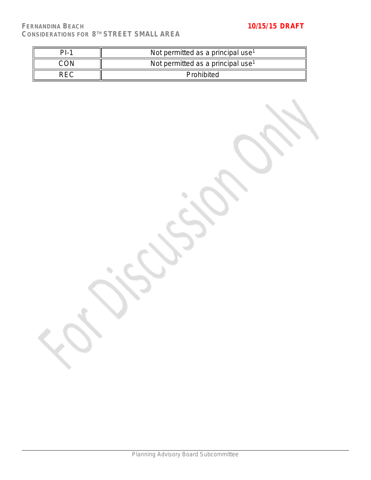| $ D $ . | Not permitted as a principal use <sup>1</sup> |
|---------|-----------------------------------------------|
|         | Not permitted as a principal use <sup>1</sup> |
| コヒし     | Prohibited                                    |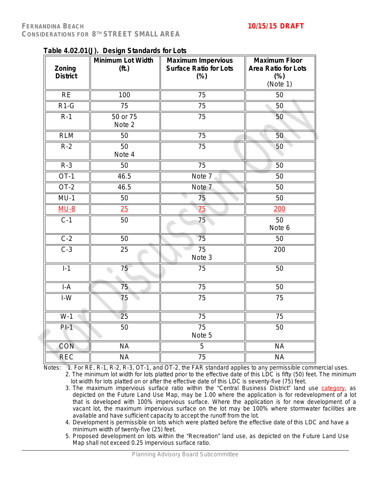| Zoning<br><b>District</b>      | rable 4.02.01(J). Design Standards for E013<br>Minimum Lot Width<br>(f <sup>t</sup> ) | <b>Maximum Impervious</b><br><b>Surface Ratio for Lots</b><br>$(\%)$ | <b>Maximum Floor</b><br><b>Area Ratio for Lots</b><br>$(\%)$ |
|--------------------------------|---------------------------------------------------------------------------------------|----------------------------------------------------------------------|--------------------------------------------------------------|
|                                |                                                                                       |                                                                      | (Note 1)                                                     |
| <b>RE</b>                      | 100                                                                                   | 75                                                                   | 50                                                           |
| $R1-G$                         | 75                                                                                    | 75                                                                   | 50                                                           |
| $R-1$                          | 50 or 75<br>Note 2                                                                    | 75                                                                   | 50                                                           |
| <b>RLM</b>                     | 50                                                                                    | 75                                                                   | 50                                                           |
| $R-2$                          | 50<br>Note 4                                                                          | 75                                                                   | 50                                                           |
| $R-3$                          | 50                                                                                    | 75                                                                   | 50                                                           |
| $OT-1$                         | 46.5                                                                                  | Note 7                                                               | 50                                                           |
| $OT-2$                         | 46.5                                                                                  | Note <sub>7</sub>                                                    | 50                                                           |
| $MU-1$                         | 50                                                                                    | 75                                                                   | 50                                                           |
| $MU-8$                         | 25                                                                                    | 75                                                                   | 200                                                          |
| $C-1$                          | 50                                                                                    | 75                                                                   | 50<br>Note 6                                                 |
| $C-2$                          | 50                                                                                    | 75                                                                   | 50                                                           |
| $C-3$                          | 25                                                                                    | $\overline{75}$<br>Note 3                                            | 200                                                          |
| $I-1$                          | 75                                                                                    | 75                                                                   | 50                                                           |
| $I-A$                          | 75                                                                                    | 75                                                                   | 50                                                           |
| $\textsf{I}\text{-}\textsf{W}$ | 75                                                                                    | 75                                                                   | 75                                                           |
| $W-1$                          | 25                                                                                    | $\overline{75}$                                                      | $\overline{75}$                                              |
| $PI-1$                         | 50                                                                                    | $\overline{75}$<br>Note 5                                            | 50                                                           |
| <b>CON</b>                     | <b>NA</b>                                                                             | $\overline{5}$                                                       | <b>NA</b>                                                    |
| <b>REC</b>                     | <b>NA</b>                                                                             | 75                                                                   | <b>NA</b>                                                    |

**Table 4.02.01(J). Design Standards for Lots**

Notes: 1. For RE, R-1, R-2, R-3, OT-1, and OT-2, the FAR standard applies to any permissible commercial uses.

2. The minimum lot width for lots platted prior to the effective date of this LDC is fifty (50) feet. The minimum lot width for lots platted on or after the effective date of this LDC is seventy-five (75) feet.

- 3. The maximum impervious surface ratio within the "Central Business District" land use category, as depicted on the Future Land Use Map, may be 1.00 where the application is for redevelopment of a lot that is developed with 100% impervious surface. Where the application is for new development of a vacant lot, the maximum impervious surface on the lot may be 100% where stormwater facilities are available and have sufficient capacity to accept the runoff from the lot.
- 4. Development is permissible on lots which were platted before the effective date of this LDC and have a minimum width of twenty-five (25) feet.
- 5. Proposed development on lots within the "Recreation" land use, as depicted on the Future Land Use Map shall not exceed 0.25 impervious surface ratio.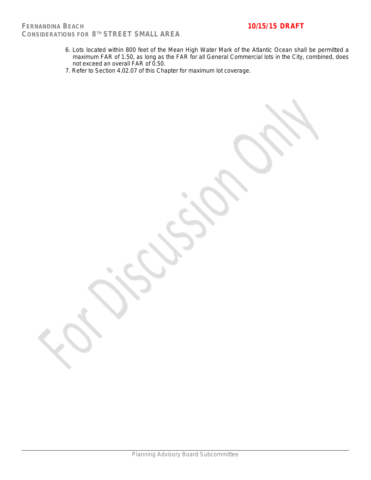- 6. Lots located within 800 feet of the Mean High Water Mark of the Atlantic Ocean shall be permitted a maximum FAR of 1.50, as long as the FAR for all General Commercial lots in the City, combined, does not exceed an overall FAR of 0.50.
- 7. Refer to Section 4.02.07 of this Chapter for maximum lot coverage.

Planning Advisory Board Subcommittee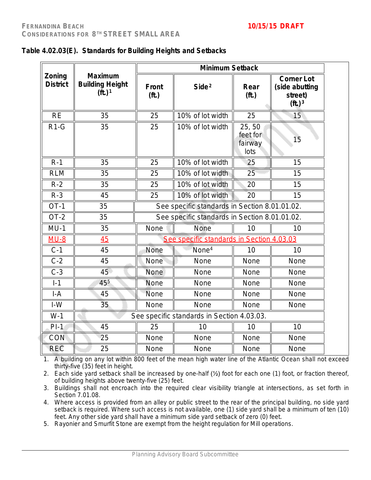|                           |                                                                         |                                | <b>Minimum Setback</b>                        |                                      |                                                                               |
|---------------------------|-------------------------------------------------------------------------|--------------------------------|-----------------------------------------------|--------------------------------------|-------------------------------------------------------------------------------|
| Zoning<br><b>District</b> | <b>Maximum</b><br><b>Building Height</b><br>( <b>ft</b> .) <sup>1</sup> | <b>Front</b><br>( <b>ft</b> .) | Side <sup>2</sup>                             | Rear<br>(f <sub>t</sub> )            | <b>Corner Lot</b><br>(side abutting<br>street)<br>( <b>ft</b> .) <sup>3</sup> |
| <b>RE</b>                 | 35                                                                      | 25                             | 10% of lot width                              | 25                                   | 15                                                                            |
| $R1-G$                    | 35                                                                      | 25                             | 10% of lot width                              | 25,50<br>feet for<br>fairway<br>lots | 15                                                                            |
| $R-1$                     | 35                                                                      | 25                             | 10% of lot width                              | 25                                   | 15                                                                            |
| <b>RLM</b>                | 35                                                                      | 25                             | 10% of lot width                              | 25                                   | 15                                                                            |
| $R-2$                     | 35                                                                      | 25                             | 10% of lot width                              | 20                                   | 15                                                                            |
| $R-3$                     | 45                                                                      | 25                             | 10% of lot width                              | 20                                   | 15                                                                            |
| $OT-1$                    | 35                                                                      |                                | See specific standards in Section 8.01.01.02. |                                      |                                                                               |
| $OT-2$                    | 35                                                                      |                                | See specific standards in Section 8.01.01.02. |                                      |                                                                               |
| $MU-1$                    | 35                                                                      | None                           | None                                          | 10                                   | 10                                                                            |
| $MU-8$                    | 45                                                                      |                                | See specific standards in Section 4.03.03     |                                      |                                                                               |
| $C-1$                     | 45                                                                      | None                           | None <sup>4</sup>                             | 10                                   | 10                                                                            |
| $C-2$                     | 45                                                                      | None                           | None                                          | None                                 | None                                                                          |
| $C-3$                     | 45                                                                      | None                           | None                                          | None                                 | None                                                                          |
| $I-1$                     | 455                                                                     | None                           | None                                          | None                                 | None                                                                          |
| $I-A$                     | 45                                                                      | None                           | None                                          | None                                 | None                                                                          |
| $I-W$                     | 35                                                                      | None                           | None                                          | None                                 | None                                                                          |
| $W-1$                     |                                                                         |                                | See specific standards in Section 4.03.03.    |                                      |                                                                               |
| $PI-1$                    | 45                                                                      | 25                             | 10                                            | 10                                   | 10                                                                            |
| CON                       | 25                                                                      | None                           | None                                          | None                                 | None                                                                          |
| REC                       | 25                                                                      | None                           | None                                          | None                                 | None                                                                          |

|  |  | Table 4.02.03(E). Standards for Building Heights and Setbacks |  |
|--|--|---------------------------------------------------------------|--|
|--|--|---------------------------------------------------------------|--|

1. A building on any lot within 800 feet of the mean high water line of the Atlantic Ocean shall not exceed thirty-five (35) feet in height.

2. Each side yard setback shall be increased by one-half (½) foot for each one (1) foot, or fraction thereof, of building heights above twenty-five (25) feet.

3. Buildings shall not encroach into the required clear visibility triangle at intersections, as set forth in Section 7.01.08.

4. Where access is provided from an alley or public street to the rear of the principal building, no side yard setback is required. Where such access is not available, one (1) side yard shall be a minimum of ten (10) feet. Any other side yard shall have a minimum side yard setback of zero (0) feet.

5. Rayonier and Smurfit Stone are exempt from the height regulation for Mill operations.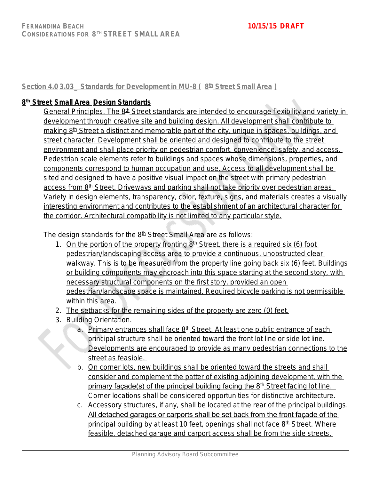**Section 4.0 3.03\_ Standards for Development in MU-8 ( 8 th Street Small Area )**

## **8 th Street Small Area Design Standards**

General Principles. The 8<sup>th</sup> Street standards are intended to encourage flexibility and variety in development through creative site and building design. All development shall contribute to making 8<sup>th</sup> Street a distinct and memorable part of the city, unique in spaces, buildings, and street character. Development shall be oriented and designed to contribute to the street environment and shall place priority on pedestrian comfort, convenience, safety, and access. Pedestrian scale elements refer to buildings and spaces whose dimensions, properties, and components correspond to human occupation and use. Access to all development shall be sited and designed to have a positive visual impact on the street with primary pedestrian access from 8<sup>th</sup> Street. Driveways and parking shall not take priority over pedestrian areas. Variety in design elements, transparency, color, texture, signs, and materials creates a visually interesting environment and contributes to the establishment of an architectural character for the corridor. Architectural compatibility is not limited to any particular style.

The design standards for the 8<sup>th</sup> Street Small Area are as follows:

- 1. On the portion of the property fronting  $8<sup>th</sup>$  Street, there is a required six (6) foot pedestrian/landscaping access area to provide a continuous, unobstructed clear walkway. This is to be measured from the property line going back six (6) feet. Buildings or building components may encroach into this space starting at the second story, with necessary structural components on the first story, provided an open pedestrian/landscape space is maintained. Required bicycle parking is not permissible within this area.
- 2. The setbacks for the remaining sides of the property are zero (0) feet.
- 3. Building Orientation.
	- a. Primary entrances shall face 8<sup>th</sup> Street. At least one public entrance of each principal structure shall be oriented toward the front lot line or side lot line. Developments are encouraged to provide as many pedestrian connections to the street as feasible.
	- b. On corner lots, new buildings shall be oriented toward the streets and shall consider and complement the patter of existing adjoining development, with the primary façade(s) of the principal building facing the  $8<sup>th</sup>$  Street facing lot line. Corner locations shall be considered opportunities for distinctive architecture.
	- c. Accessory structures, if any, shall be located at the rear of the principal buildings. All detached garages or carports shall be set back from the front façade of the principal building by at least 10 feet, openings shall not face  $8<sup>th</sup>$  Street. Where feasible, detached garage and carport access shall be from the side streets.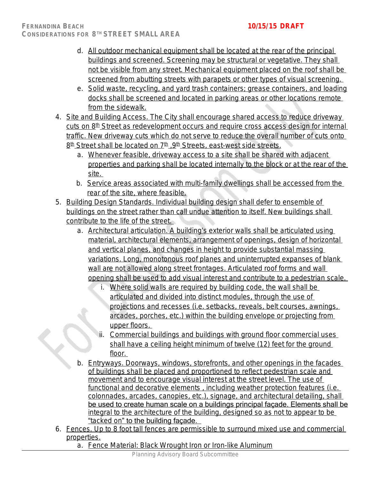- d. All outdoor mechanical equipment shall be located at the rear of the principal buildings and screened. Screening may be structural or vegetative. They shall not be visible from any street. Mechanical equipment placed on the roof shall be screened from abutting streets with parapets or other types of visual screening.
- e. Solid waste, recycling, and yard trash containers; grease containers, and loading docks shall be screened and located in parking areas or other locations remote from the sidewalk.
- 4. Site and Building Access. The City shall encourage shared access to reduce driveway cuts on 8<sup>th</sup> Street as redevelopment occurs and require cross access design for internal traffic. New driveway cuts which do not serve to reduce the overall number of cuts onto 8<sup>th</sup> Street shall be located on 7<sup>th</sup> , 9<sup>th</sup> Streets, east-west side streets.
	- a. Whenever feasible, driveway access to a site shall be shared with adjacent properties and parking shall be located internally to the block or at the rear of the site.
	- b. Service areas associated with multi-family dwellings shall be accessed from the rear of the site, where feasible.
- 5. Building Design Standards. Individual building design shall defer to ensemble of buildings on the street rather than call undue attention to itself. New buildings shall contribute to the life of the street.
	- a. Architectural articulation. A building's exterior walls shall be articulated using material, architectural elements, arrangement of openings, design of horizontal and vertical planes, and changes in height to provide substantial massing variations. Long, monotonous roof planes and uninterrupted expanses of blank wall are not allowed along street frontages. Articulated roof forms and wall opening shall be used to add visual interest and contribute to a pedestrian scale.
		- i. Where solid walls are required by building code, the wall shall be articulated and divided into distinct modules, through the use of projections and recesses (i.e. setbacks, reveals, belt courses, awnings, arcades, porches, etc.) within the building envelope or projecting from upper floors.
		- ii. Commercial buildings and buildings with ground floor commercial uses shall have a ceiling height minimum of twelve (12) feet for the ground floor.
	- b. Entryways. Doorways, windows, storefronts, and other openings in the facades of buildings shall be placed and proportioned to reflect pedestrian scale and movement and to encourage visual interest at the street level. The use of functional and decorative elements , including weather protection features (i.e. colonnades, arcades, canopies, etc.), signage, and architectural detailing, shall be used to create human scale on a buildings principal façade. Elements shall be integral to the architecture of the building, designed so as not to appear to be "tacked on" to the building façade.
- 6. Fences. Up to 8 foot tall fences are permissible to surround mixed use and commercial properties.
	- a. Fence Material: Black Wrought Iron or Iron-like Aluminum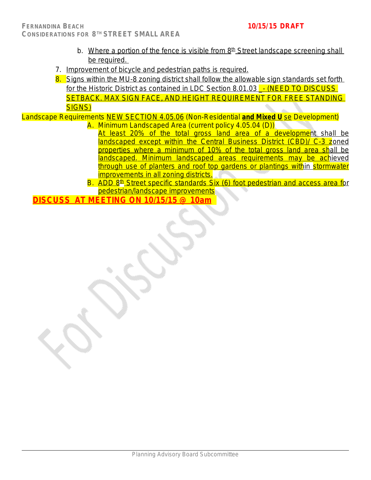- b. Where a portion of the fence is visible from  $8<sup>th</sup>$  Street landscape screening shall be required.
- 7. Improvement of bicycle and pedestrian paths is required.
- 8. Signs within the MU-8 zoning district shall follow the allowable sign standards set forth for the Historic District as contained in LDC Section 8.01.03 - (NEED TO DISCUSS SETBACK. MAX SIGN FACE, AND HEIGHT REQUIREMENT FOR FREE STANDING SIGNS)

Landscape Requirements NEW SECTION 4.05.06 (Non-Residential **and Mixed U** se Development) A. Minimum Landscaped Area (current policy 4.05.04 (D))

- At least 20% of the total gross land area of a development shall be landscaped except within the Central Business District (CBD)/ C-3 zoned properties where a minimum of 10% of the total gross land area shall be landscaped. Minimum landscaped areas requirements may be achieved through use of planters and roof top gardens or plantings within stormwater improvements in all zoning districts.
- B. ADD 8<sup>th</sup> Street specific standards Six (6) foot pedestrian and access area for pedestrian/landscape improvements

**DISCUSS AT MEETING ON 10/15/15 @ 10am**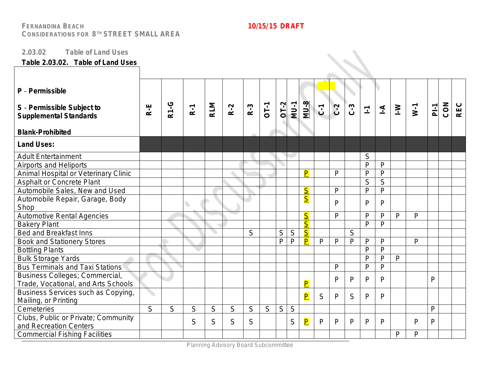### **2.03.02 Table of Land Uses**

## **Table 2.03.02. Table of Land Uses**

| P - Permissible<br>S - Permissible Subject to<br><b>Supplemental Standards</b><br><b>Blank-Prohibited</b> | $R-E$ | <b>R1-G</b> | $R-1$ | <b>RLM</b> | $R-2$ | $R-3$ | <b>OT-1</b> | $OT-2$ | $MU-1$      | <b>MU-8</b>             | $\overline{C}$ | $C - 2$      | $C - 3$      | $\Sigma$     | $\overline{1}$ | $\geq$       | $W-1$        | $\overline{P}$ | CON | <b>REC</b> |
|-----------------------------------------------------------------------------------------------------------|-------|-------------|-------|------------|-------|-------|-------------|--------|-------------|-------------------------|----------------|--------------|--------------|--------------|----------------|--------------|--------------|----------------|-----|------------|
| <b>Land Uses:</b>                                                                                         |       |             |       |            |       |       |             |        |             |                         |                |              |              |              |                |              |              |                |     |            |
| <b>Adult Entertainment</b>                                                                                |       |             |       |            |       |       |             |        |             |                         |                |              |              | S            |                |              |              |                |     |            |
| <b>Airports and Heliports</b>                                                                             |       |             |       |            |       |       |             |        |             |                         |                |              |              | $\mathsf{P}$ | P              |              |              |                |     |            |
| Animal Hospital or Veterinary Clinic                                                                      |       |             |       |            |       |       |             |        |             | P                       |                | $\mathsf{P}$ |              | $\mathsf{P}$ | $\mathsf{P}$   |              |              |                |     |            |
| <b>Asphalt or Concrete Plant</b>                                                                          |       |             |       |            |       |       |             |        |             |                         |                |              |              | S            | S              |              |              |                |     |            |
| Automobile Sales, New and Used                                                                            |       |             |       |            |       |       |             |        |             | $\overline{\mathsf{S}}$ |                | $\mathsf{P}$ |              | $\mathsf{P}$ | P              |              |              |                |     |            |
| Automobile Repair, Garage, Body                                                                           |       |             |       |            |       |       |             |        |             | $\overline{\mathsf{S}}$ |                | $\mathsf{P}$ |              | P            | P              |              |              |                |     |            |
| Shop                                                                                                      |       |             |       |            |       |       |             |        |             |                         |                |              |              |              |                |              |              |                |     |            |
| Automotive Rental Agencies                                                                                |       |             |       |            |       |       |             |        |             | $\overline{\mathsf{S}}$ |                | $\mathsf{P}$ |              | $\mathsf{P}$ | P              | P            | $\mathsf{P}$ |                |     |            |
| <b>Bakery Plant</b>                                                                                       |       |             |       |            |       |       |             |        |             | $\overline{\mathsf{S}}$ |                |              |              | $\mathsf{P}$ | $\mathsf{P}$   |              |              |                |     |            |
| <b>Bed and Breakfast Inns</b>                                                                             |       |             |       |            |       | S     |             | S      | $\mathsf S$ | $\overline{\mathsf{S}}$ |                |              | S            |              |                |              |              |                |     |            |
| <b>Book and Stationery Stores</b>                                                                         |       |             |       |            |       |       |             | P      | P           | $\overline{\mathsf{P}}$ | P              | $\mathsf{P}$ | $\mathsf{P}$ | P            | P              |              | $\mathsf{P}$ |                |     |            |
| <b>Bottling Plants</b>                                                                                    |       |             |       |            |       |       |             |        |             |                         |                |              |              | P            | P              |              |              |                |     |            |
| <b>Bulk Storage Yards</b>                                                                                 |       |             |       |            |       |       |             |        |             |                         |                |              |              | $\mathsf{P}$ | P              | $\mathsf{P}$ |              |                |     |            |
| <b>Bus Terminals and Taxi Stations</b>                                                                    |       |             |       |            |       |       |             |        |             |                         |                | P            |              | $\mathsf{P}$ | P              |              |              |                |     |            |
| Business Colleges; Commercial,                                                                            |       |             |       |            |       |       |             |        |             |                         |                | P            | P            | P            | P              |              |              | $\mathsf{P}$   |     |            |
| Trade, Vocational, and Arts Schools                                                                       |       |             |       |            |       |       |             |        |             | $\overline{\mathsf{P}}$ |                |              |              |              |                |              |              |                |     |            |
| Business Services such as Copying,                                                                        |       |             |       |            |       |       |             |        |             | $\overline{\mathsf{P}}$ | S              | P            | S            | P            | P              |              |              |                |     |            |
| Mailing, or Printing                                                                                      |       |             |       |            |       |       |             |        |             |                         |                |              |              |              |                |              |              |                |     |            |
| Cemeteries                                                                                                | S     | S           | S     | S          | S     | S     | S           | S      | S           |                         |                |              |              |              |                |              |              | $\mathsf{P}$   |     |            |
| Clubs, Public or Private; Community<br>and Recreation Centers                                             |       |             | S     | S          | S     | S     |             |        | S           | $\overline{\mathsf{P}}$ | P              | $\mathsf{P}$ | P            | P            | P              |              | $\mathsf{P}$ | $\mathsf{P}$   |     |            |
| <b>Commercial Fishing Facilities</b>                                                                      |       |             |       |            |       |       |             |        |             |                         |                |              |              |              |                | P            | P            |                |     |            |

Planning Advisory Board Subcommittee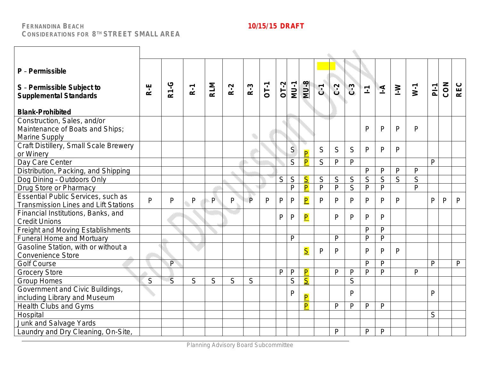| P - Permissible<br>S - Permissible Subject to<br><b>Supplemental Standards</b><br><b>Blank-Prohibited</b> | $R-E$        | <b>R1-G</b>    | $R-1$        | <b>RLM</b> | $R-2$ | $R-3$          | OT-1 | $OT-2$ | $MU-1$         | $MU-8$                  | $C_1$        | $C-2$          | $C-3$        | $\overline{\mathbb{L}}$ | $\overline{4}$ | $\geq$         | $W-1$          | $P_{-1}$     | CON          | <b>REC</b>   |
|-----------------------------------------------------------------------------------------------------------|--------------|----------------|--------------|------------|-------|----------------|------|--------|----------------|-------------------------|--------------|----------------|--------------|-------------------------|----------------|----------------|----------------|--------------|--------------|--------------|
| Construction, Sales, and/or<br>Maintenance of Boats and Ships;<br>Marine Supply                           |              |                |              |            |       |                |      |        |                |                         |              |                |              | $\mathsf{P}$            | P              | P              | $\mathsf{P}$   |              |              |              |
| Craft Distillery, Small Scale Brewery<br>or Winery                                                        |              |                |              |            |       |                |      |        | S              | $\overline{\mathsf{P}}$ | S            | S              | S            | P                       | P              | $\mathsf{P}$   |                |              |              |              |
| Day Care Center                                                                                           |              |                |              |            |       |                |      |        | $\overline{S}$ | $\overline{\mathsf{P}}$ | S            | $\mathsf{P}$   | $\mathsf{P}$ |                         |                |                |                | $\mathsf{P}$ |              |              |
| Distribution, Packing, and Shipping                                                                       |              |                |              |            |       |                |      |        |                |                         |              |                |              | $\mathsf{P}$            | P              | $\mathsf{P}$   | $\mathsf{P}$   |              |              |              |
| Dog Dining - Outdoors Only                                                                                |              |                |              |            |       |                |      | S      | $\overline{S}$ | $\overline{\mathsf{S}}$ | S            | S              | S            | $\overline{S}$          | $\overline{S}$ | $\overline{S}$ | $\overline{S}$ |              |              |              |
| Drug Store or Pharmacy                                                                                    |              |                |              |            |       |                |      |        | $\mathsf{P}$   | $\overline{\mathsf{P}}$ | $\mathsf{P}$ | $\overline{P}$ | S            | $\mathsf{P}$            | $\overline{P}$ |                | $\overline{P}$ |              |              |              |
| Essential Public Services, such as<br><b>Transmission Lines and Lift Stations</b>                         | $\mathsf{P}$ | P              | $\mathsf{P}$ | P          | P     | $\overline{P}$ | P    | P      | $\mathsf{P}$   | $\overline{\mathsf{P}}$ | P            | $\mathsf{P}$   | P            | P                       | P              | P              |                | $\mathsf{P}$ | $\mathsf{P}$ | P            |
| Financial Institutions, Banks, and<br><b>Credit Unions</b>                                                |              |                |              |            |       |                |      | P      | $\mathsf{P}$   | $\overline{\mathsf{P}}$ |              | P              | $\mathsf{P}$ | P                       | P              |                |                |              |              |              |
| Freight and Moving Establishments                                                                         |              |                |              |            |       |                |      |        |                |                         |              |                |              | P                       | P              |                |                |              |              |              |
| <b>Funeral Home and Mortuary</b>                                                                          |              |                |              |            |       |                |      |        | $\mathsf{P}$   |                         |              | $\mathsf{P}$   |              | P                       | $\mathsf{P}$   |                |                |              |              |              |
| Gasoline Station, with or without a<br><b>Convenience Store</b>                                           |              |                |              |            |       |                |      |        |                | $\overline{\mathsf{S}}$ | P            | P              |              | $\mathsf{P}$            | P              | P              |                |              |              |              |
| <b>Golf Course</b>                                                                                        |              | $\overline{P}$ |              |            |       |                |      |        |                |                         |              |                |              | $\mathsf{P}$            | P              |                |                | $\mathsf{P}$ |              | $\mathsf{P}$ |
| <b>Grocery Store</b>                                                                                      |              |                |              |            |       |                |      | P      | $\mathsf{P}$   | P                       |              | $\mathsf{P}$   | P            | $\mathsf{P}$            | $\mathsf{P}$   |                | $\mathsf{P}$   |              |              |              |
| <b>Group Homes</b>                                                                                        | S            | S              | S            | S          | S     | S              |      |        | S              | $\overline{\mathsf{S}}$ |              |                | S            |                         |                |                |                |              |              |              |
| Government and Civic Buildings,<br>including Library and Museum                                           |              |                |              |            |       |                |      |        | $\mathsf{P}$   | $\overline{P}$          |              |                | $\mathsf{P}$ |                         |                |                |                | $\mathsf{P}$ |              |              |
| <b>Health Clubs and Gyms</b>                                                                              |              |                |              |            |       |                |      |        |                | P                       |              | $\mathsf{P}$   | P            | P                       | P              |                |                |              |              |              |
| Hospital                                                                                                  |              |                |              |            |       |                |      |        |                |                         |              |                |              |                         |                |                |                | S            |              |              |
| Junk and Salvage Yards                                                                                    |              |                |              |            |       |                |      |        |                |                         |              |                |              |                         |                |                |                |              |              |              |
| Laundry and Dry Cleaning, On-Site,                                                                        |              |                |              |            |       |                |      |        |                |                         |              | P              |              | $\mathsf{P}$            | P              |                |                |              |              |              |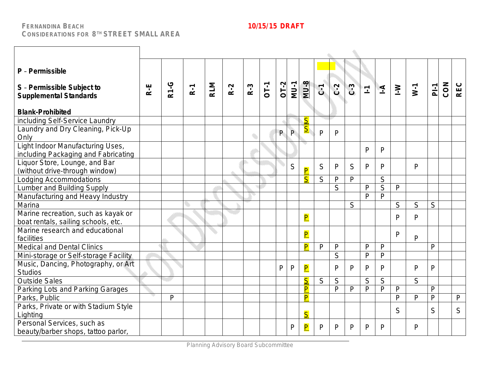٦

 $\Gamma$ 

 $\lambda$ 

| P - Permissible<br>S - Permissible Subject to<br><b>Supplemental Standards</b> | $R-E$ | <b>R1-G</b> | $R-1$ | <b>RLM</b> | $R-2$ | $R-3$ | $OT-1$ | $OT-2$ | $MJ-1$ | $MU-8$                  | $\overline{c}$ | $C-2$        | $C-3$        | $\overline{\mathbb{F}}$ | $\Delta$                | $\geq$       | $W-1$        | $P_{-1}$       | CON | <b>REC</b>   |
|--------------------------------------------------------------------------------|-------|-------------|-------|------------|-------|-------|--------|--------|--------|-------------------------|----------------|--------------|--------------|-------------------------|-------------------------|--------------|--------------|----------------|-----|--------------|
| <b>Blank-Prohibited</b>                                                        |       |             |       |            |       |       |        |        |        |                         |                |              |              |                         |                         |              |              |                |     |              |
| including Self-Service Laundry                                                 |       |             |       |            |       |       |        |        |        | $\overline{\mathsf{S}}$ |                |              |              |                         |                         |              |              |                |     |              |
| Laundry and Dry Cleaning, Pick-Up<br>Only                                      |       |             |       |            |       |       |        | P      | P      | $S_{\parallel}$         | $\mathsf{P}$   | $\mathsf{P}$ |              |                         |                         |              |              |                |     |              |
| Light Indoor Manufacturing Uses,<br>including Packaging and Fabricating        |       |             |       |            |       |       |        |        |        |                         |                |              |              | $\mathsf{P}$            | P                       |              |              |                |     |              |
| Liquor Store, Lounge, and Bar<br>(without drive-through window)                |       |             |       |            |       |       |        |        | S      | $\overline{\mathsf{P}}$ | S              | $\mathsf{P}$ | S            | $\mathsf{P}$            | P                       |              | $\mathsf{P}$ |                |     |              |
| Lodging Accommodations                                                         |       |             |       |            |       |       |        |        |        | $\overline{\mathsf{S}}$ | S              | $\mathsf{P}$ | $\mathsf{P}$ |                         | S                       |              |              |                |     |              |
| Lumber and Building Supply                                                     |       |             |       |            |       |       |        |        |        |                         |                | S            |              | $\mathsf{P}$            | $\overline{\mathsf{S}}$ | $\mathsf{P}$ |              |                |     |              |
| Manufacturing and Heavy Industry                                               |       |             |       |            |       |       |        |        |        |                         |                |              |              | $\mathsf{P}$            | $\overline{P}$          |              |              |                |     |              |
| Marina                                                                         |       |             |       |            |       |       |        |        |        |                         |                |              | S            |                         |                         | S            | S            | S              |     |              |
| Marine recreation, such as kayak or<br>boat rentals, sailing schools, etc.     |       |             |       |            |       |       |        |        |        | $\overline{\mathsf{P}}$ |                |              |              |                         |                         | P            | P            |                |     |              |
| Marine research and educational<br>facilities                                  |       |             |       |            |       |       |        |        |        | $\overline{\mathsf{P}}$ |                |              |              |                         |                         | $\mathsf{P}$ | $\mathsf{P}$ |                |     |              |
| <b>Medical and Dental Clinics</b>                                              |       |             |       |            |       |       |        |        |        | $\overline{\mathsf{P}}$ | P              | $\mathsf{P}$ |              | $\mathsf{P}$            | P                       |              |              | $\overline{P}$ |     |              |
| Mini-storage or Self-storage Facility                                          |       |             |       |            |       |       |        |        |        |                         |                | S            |              | P                       | P                       |              |              |                |     |              |
| Music, Dancing, Photography, or Art<br><b>Studios</b>                          |       |             |       |            |       |       |        | P      | P      | $\overline{\mathsf{P}}$ |                | P            | P            | $\mathsf{P}$            | P                       |              | $\mathsf{P}$ | $\overline{P}$ |     |              |
| <b>Outside Sales</b>                                                           |       |             |       |            |       |       |        |        |        | $\overline{\mathsf{S}}$ | S              | S            |              | S                       | S                       |              | S            |                |     |              |
| Parking Lots and Parking Garages                                               |       |             |       |            |       |       |        |        |        | P                       |                | $\mathsf{P}$ | $\mathsf{P}$ | P                       | $\overline{P}$          | $\mathsf{P}$ |              | $\mathsf{P}$   |     |              |
| Parks, Public                                                                  |       | P           |       |            |       |       |        |        |        | $\overline{\mathsf{P}}$ |                |              |              |                         |                         | $\mathsf{P}$ | $\mathsf{P}$ | $\overline{P}$ |     | $\mathsf{P}$ |
| Parks, Private or with Stadium Style<br>Lighting                               |       |             |       |            |       |       |        |        |        | $\overline{\mathsf{S}}$ |                |              |              |                         |                         | S            |              | S              |     | S            |
| Personal Services, such as<br>beauty/barber shops, tattoo parlor,              |       |             |       |            |       |       |        |        | P      | $\overline{\mathsf{P}}$ | P              | P            | P            | P                       | P                       |              | P            |                |     |              |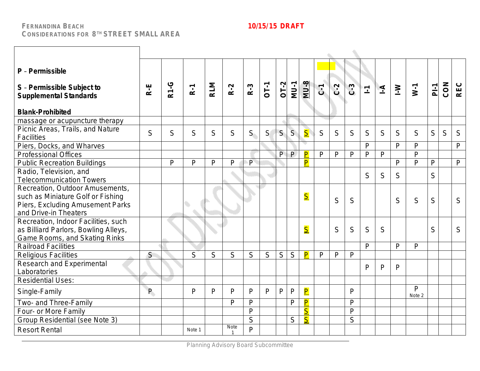| P - Permissible<br>S - Permissible Subject to<br><b>Supplemental Standards</b><br><b>Blank-Prohibited</b>                         | R.E | <b>R1-G</b>  | $R-1$        | <b>RLM</b> | $R-2$       | $R-3$                   | <b>OT-1</b> | $OT-2$ | <b>MU-1</b>  | $MU-8$                  | $\overline{C}$ | $C - 2$      | $C-3$        | $\overline{\mathbb{L}}$ | $\overline{4}$ | $\geq$       | $W-1$                  | $\overline{P}$ | CON | <b>REC</b>   |
|-----------------------------------------------------------------------------------------------------------------------------------|-----|--------------|--------------|------------|-------------|-------------------------|-------------|--------|--------------|-------------------------|----------------|--------------|--------------|-------------------------|----------------|--------------|------------------------|----------------|-----|--------------|
| massage or acupuncture therapy                                                                                                    |     |              |              |            |             |                         |             |        |              |                         |                |              |              |                         |                |              |                        |                |     |              |
| Picnic Areas, Trails, and Nature<br><b>Facilities</b>                                                                             | S   | S            | S            | S          | S           | S                       | S           | S      | S            | $\overline{\mathsf{S}}$ | S              | S            | S            | S                       | S              | S            | S                      | S              | S   | S            |
| Piers, Docks, and Wharves                                                                                                         |     |              |              |            |             |                         |             |        |              |                         |                |              |              | $\mathsf{P}$            |                | P            | P                      |                |     | $\mathsf{P}$ |
| <b>Professional Offices</b>                                                                                                       |     |              |              |            |             |                         |             | P      | $\mathsf{P}$ | P                       | P              | P            | P            | $\mathsf{P}$            | P              |              | $\mathsf{P}$           |                |     |              |
| <b>Public Recreation Buildings</b>                                                                                                |     | $\mathsf{P}$ | $\mathsf{P}$ | P          | P           | $\mathsf{P}$            |             |        |              | P                       |                |              |              |                         |                | $\mathsf{P}$ | $\mathsf{p}$           | $\mathsf{P}$   |     | $\mathsf{P}$ |
| Radio, Television, and<br><b>Telecommunication Towers</b>                                                                         |     |              |              |            |             |                         |             |        |              |                         |                |              |              | S                       | S              | S            |                        | S              |     |              |
| Recreation, Outdoor Amusements,<br>such as Miniature Golf or Fishing<br>Piers, Excluding Amusement Parks<br>and Drive-in Theaters |     |              |              |            |             |                         |             |        |              | $\overline{\mathsf{S}}$ |                | S            | S            |                         |                | S            | S                      | S              |     | S            |
| Recreation, Indoor Facilities, such<br>as Billiard Parlors, Bowling Alleys,<br>Game Rooms, and Skating Rinks                      |     |              |              |            |             |                         |             |        |              | $\overline{\mathsf{S}}$ |                | S            | S            | S                       | S              |              |                        | S              |     | S            |
| <b>Railroad Facilities</b>                                                                                                        |     |              |              |            |             |                         |             |        |              |                         |                |              |              | P                       |                | $\mathsf{P}$ | $\mathsf{P}$           |                |     |              |
| <b>Religious Facilities</b><br>Research and Experimental<br>Laboratories                                                          | S   |              | S            | S.         | S           | S                       | S           | S      | S            | $\overline{\mathsf{P}}$ | $\mathsf{P}$   | $\mathsf{P}$ | P            | P                       | P              | P            |                        |                |     |              |
| <b>Residential Uses:</b>                                                                                                          |     |              |              |            |             |                         |             |        |              |                         |                |              |              |                         |                |              |                        |                |     |              |
| Single-Family                                                                                                                     | P.  |              | P            | P          | P           | P                       | P           | P      | $\mathsf{P}$ | $\overline{\mathsf{P}}$ |                |              | P            |                         |                |              | $\mathsf{P}$<br>Note 2 |                |     |              |
| Two- and Three-Family                                                                                                             |     |              |              |            | P           | $\mathsf{P}$            |             |        | $\mathsf{P}$ | P                       |                |              | $\mathsf{P}$ |                         |                |              |                        |                |     |              |
| Four- or More Family                                                                                                              |     |              |              |            |             | $\mathsf{P}$            |             |        |              | $\overline{\mathsf{S}}$ |                |              | $\mathsf{P}$ |                         |                |              |                        |                |     |              |
| Group Residential (see Note 3)                                                                                                    |     |              |              |            |             | $\overline{\mathsf{S}}$ |             |        | S            | $\overline{\mathsf{S}}$ |                |              | S            |                         |                |              |                        |                |     |              |
| <b>Resort Rental</b>                                                                                                              |     |              | Note 1       |            | <b>Note</b> | P                       |             |        |              |                         |                |              |              |                         |                |              |                        |                |     |              |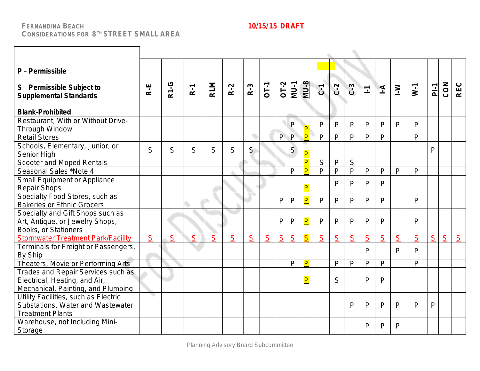| P - Permissible<br>S - Permissible Subject to<br><b>Supplemental Standards</b><br><b>Blank-Prohibited</b> | R-E | <b>R1-G</b> | $R-1$ | <b>RLM</b>     | $R-2$ | $R-3$ | $OT-1$ | $OT-2$         | <b>MU-1</b>  | $MU-8$                  | $C - 1$        | $C-2$        | $C-3$          | $\mathbf{L}$ | $\overline{4}$ | $\geq$       | $W-1$        | $P_{-1}$       | CON | REC |
|-----------------------------------------------------------------------------------------------------------|-----|-------------|-------|----------------|-------|-------|--------|----------------|--------------|-------------------------|----------------|--------------|----------------|--------------|----------------|--------------|--------------|----------------|-----|-----|
| Restaurant, With or Without Drive-                                                                        |     |             |       |                |       |       |        |                | P            |                         | $\mathsf{P}$   | $\mathsf{P}$ | P              | P            | P              | $\mathsf{P}$ | $\mathsf{P}$ |                |     |     |
| Through Window                                                                                            |     |             |       |                |       |       |        |                |              | P                       |                |              |                |              |                |              |              |                |     |     |
| <b>Retail Stores</b>                                                                                      |     |             |       |                |       |       |        | P              | P            | $\overline{\mathsf{P}}$ | $\mathsf{P}$   | $\mathsf{P}$ | P              | P            | P              |              | $\mathsf{P}$ |                |     |     |
| Schools, Elementary, Junior, or<br>Senior High                                                            | S   | S           | S     | S              | S     | S     |        |                | S            | $\overline{P}$          |                |              |                |              |                |              |              | P              |     |     |
| Scooter and Moped Rentals                                                                                 |     |             |       |                |       |       |        |                |              | $\overline{\mathsf{P}}$ | S              | $\mathsf{P}$ | $\mathsf S$    |              |                |              |              |                |     |     |
| Seasonal Sales *Note 4                                                                                    |     |             |       |                |       |       |        |                | $\mathsf{P}$ | P                       | $\overline{P}$ | $\mathsf{P}$ | $\mathsf{P}$   | P            | P              | $\mathsf{P}$ | $\mathsf{P}$ |                |     |     |
| <b>Small Equipment or Appliance</b><br><b>Repair Shops</b>                                                |     |             |       |                |       |       |        |                |              | $\overline{\mathsf{P}}$ |                | P            | P              | P            | P              |              |              |                |     |     |
| Specialty Food Stores, such as<br><b>Bakeries or Ethnic Grocers</b>                                       |     |             |       |                |       |       |        | P              | $\mathsf{P}$ | $\overline{\mathbf{P}}$ | $\mathsf{P}$   | $\mathsf{P}$ | $\mathsf{P}$   | P            | P              |              | P            |                |     |     |
| Specialty and Gift Shops such as<br>Art, Antique, or Jewelry Shops,<br>Books, or Stationers               |     |             |       |                |       |       |        | P              | $\mathsf{P}$ | $\overline{\mathsf{P}}$ | P              | P            | P              | P            | P              |              | $\mathsf{P}$ |                |     |     |
| <b>Stormwater Treatment Park/Facility</b>                                                                 | S   | S           | S     | $\overline{S}$ | S     | S     | S      | $\overline{S}$ | S            |                         | S              | S            | $\overline{S}$ | S            | S              | S            | S            | S              | S   | S   |
| Terminals for Freight or Passengers,<br>By Ship                                                           |     |             |       |                |       |       |        |                |              |                         |                |              |                | $\mathsf{P}$ |                | P            | P            |                |     |     |
| Theaters, Movie or Performing Arts                                                                        |     |             |       |                |       |       |        |                | $\mathsf{P}$ | P                       |                | $\mathsf{P}$ | $\mathsf{P}$   | P            | P              |              | $\mathsf{P}$ |                |     |     |
| Trades and Repair Services such as<br>Electrical, Heating, and Air,<br>Mechanical, Painting, and Plumbing |     |             |       |                |       |       |        |                |              | $\overline{\mathsf{P}}$ |                | S            |                | $\mathsf{P}$ | $\mathsf{P}$   |              |              |                |     |     |
| Utility Facilities, such as Electric<br>Substations, Water and Wastewater<br><b>Treatment Plants</b>      |     |             |       |                |       |       |        |                |              |                         |                |              | P              | P            | $\mathsf{P}$   | P            | $\mathsf{P}$ | $\overline{P}$ |     |     |
| Warehouse, not Including Mini-<br>Storage                                                                 |     |             |       |                |       |       |        |                |              |                         |                |              |                | P            | P              | P            |              |                |     |     |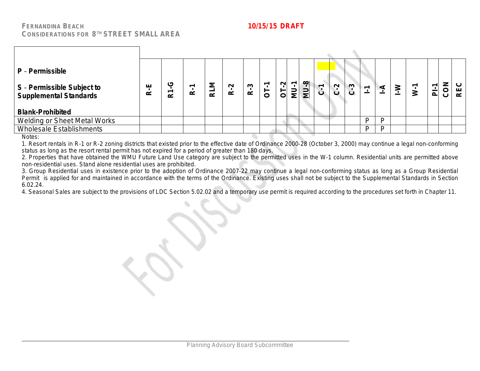| P - Permissible<br>S - Permissible Subject to<br><b>Supplemental Standards</b> | ய<br>œ | (5)<br>∼ | $\alpha$ | ≂<br>2<br>$\alpha$ | $\sim$<br>$\alpha$ | S<br>$\alpha$ | $\overline{5}$ | $OT-2$ | $MU-8$<br><b>MU-1</b> | $\overline{ }$<br>ن | $\mathbf{v}$<br>$\dot{\mathbf{C}}$ | $C - 3$ | $\overline{\phantom{0}}$<br>∸ | ⋖  | $\geq$ | $\overline{P}$ | CON | $\circ$<br>ш<br>$\alpha$ |
|--------------------------------------------------------------------------------|--------|----------|----------|--------------------|--------------------|---------------|----------------|--------|-----------------------|---------------------|------------------------------------|---------|-------------------------------|----|--------|----------------|-----|--------------------------|
| <b>Blank-Prohibited</b>                                                        |        |          |          |                    |                    |               |                |        |                       |                     |                                    |         |                               |    |        |                |     |                          |
| Welding or Sheet Metal Works                                                   |        |          |          |                    |                    |               |                |        |                       |                     |                                    |         | D                             | D  |        |                |     |                          |
| <b>Wholesale Establishments</b>                                                |        |          |          |                    |                    |               |                |        |                       |                     |                                    |         | D                             | D. |        |                |     |                          |

Notes:

1. Resort rentals in R-1 or R-2 zoning districts that existed prior to the effective date of Ordinance 2000-28 (October 3, 2000) may continue a legal non-conforming status as long as the resort rental permit has not expired for a period of greater than 180 days.

2. Properties that have obtained the WMU Future Land Use category are subject to the permitted uses in the W-1 column. Residential units are permitted above non-residential uses. Stand alone residential uses are prohibited.

3. Group Residential uses in existence prior to the adoption of Ordinance 2007-22 may continue a legal non-conforming status as long as a Group Residential Permit is applied for and maintained in accordance with the terms of the Ordinance. Existing uses shall not be subject to the Supplemental Standards in Section 6.02.24.

4. Seasonal Sales are subject to the provisions of LDC Section 5.02.02 and a temporary use permit is required according to the procedures set forth in Chapter 11.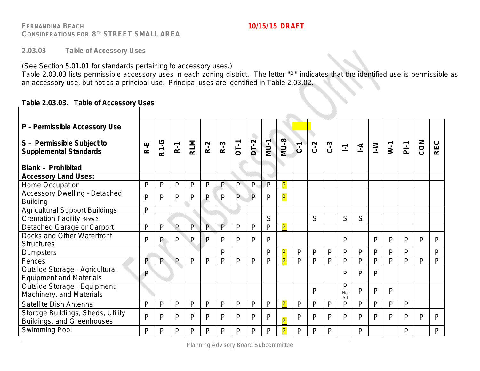**2.03.03 Table of Accessory Uses**

(See Section 5.01.01 for standards pertaining to accessory uses.)

Table 2.03.03 lists permissible accessory uses in each zoning district. The letter "P" indicates that the identified use is permissible as an accessory use, but not as a principal use. Principal uses are identified in Table 2.03.02.

## **Table 2.03.03. Table of Accessory Uses**

| P - Permissible Accessory Use                                    |                |              |              |            |                |              |              |              |        |                         |                |              |              |                         |                |              |              |                |              |              |
|------------------------------------------------------------------|----------------|--------------|--------------|------------|----------------|--------------|--------------|--------------|--------|-------------------------|----------------|--------------|--------------|-------------------------|----------------|--------------|--------------|----------------|--------------|--------------|
| S - Permissible Subject to<br><b>Supplemental Standards</b>      | R-E            | <b>R1-G</b>  | $R-1$        | <b>RLM</b> | $R-2$          | $R-3$        | <b>DT-1</b>  | O,<br>$OT-2$ | $MU-1$ | $MU-8$                  | $\overline{c}$ | $C-2$        | $C-3$        | $\overline{\mathbb{L}}$ | $\overline{A}$ | $\geq$       | $W-1$        | P <sub>i</sub> | CON          | <b>REC</b>   |
| <b>Blank - Prohibited</b>                                        |                |              |              |            |                |              |              |              |        |                         |                |              |              |                         |                |              |              |                |              |              |
| <b>Accessory Land Uses:</b>                                      |                |              |              |            |                |              |              |              |        |                         |                |              |              |                         |                |              |              |                |              |              |
| Home Occupation                                                  | P              | P            | P            | P          | $\mathsf{P}$   | P.           | P            | $\mathsf{P}$ | P      | $\overline{\mathsf{P}}$ |                |              |              |                         |                |              |              |                |              |              |
| <b>Accessory Dwelling - Detached</b><br><b>Building</b>          | $\overline{P}$ | P            | $\mathsf{P}$ | P          | P              | P            | $\mathsf{P}$ | $\mathsf{P}$ | P      | $\overline{\mathsf{P}}$ |                |              |              |                         |                |              |              |                |              |              |
| <b>Agricultural Support Buildings</b>                            | $\mathsf{P}$   |              |              |            |                |              |              |              |        |                         |                |              |              |                         |                |              |              |                |              |              |
| <b>Cremation Facility *Note 2</b>                                |                |              |              |            |                |              |              |              | S      |                         |                | S            |              | S                       | S              |              |              |                |              |              |
| Detached Garage or Carport                                       | $\mathsf{P}$   | P            | P            | P          | $\overline{P}$ | $\mathsf{P}$ | $\mathsf{P}$ | P            | P      | $\overline{\mathsf{P}}$ |                |              |              |                         |                |              |              |                |              |              |
| Docks and Other Waterfront<br><b>Structures</b>                  | P              | P            | P            | P          | P              | P            | P            | P            | P      |                         |                |              |              | P                       |                | $\mathsf{P}$ | P            | P              | P            | P            |
| <b>Dumpsters</b>                                                 |                |              |              |            |                | Þ            |              |              | P      | P                       | P              | P            | P            | P                       | P              | P            | P            | P              |              | $\mathsf{P}$ |
| Fences                                                           | P              | $\mathsf{P}$ | $\mathsf{P}$ | P          | P              | P            | $\mathsf{P}$ | P            | P      | $\overline{\mathsf{P}}$ | $\mathsf{p}$   | $\mathsf{P}$ | $\mathsf{P}$ | P                       | $\mathsf{P}$   | $\mathsf{P}$ | P            | P              | $\mathsf{P}$ | $\mathsf{P}$ |
| Outside Storage - Agricultural<br><b>Equipment and Materials</b> | $\mathsf{P}$   |              |              |            |                |              |              |              |        |                         |                |              |              | Þ                       | P              | P            |              |                |              |              |
| Outside Storage - Equipment,<br>Machinery, and Materials         |                |              |              |            |                |              |              |              |        |                         |                | P            |              | P<br>Not<br>e 1         | P              | P            | P            |                |              |              |
| Satellite Dish Antenna                                           | P              | $\mathsf{P}$ | $\mathsf{P}$ | P          | $\mathsf{P}$   | P            | $\mathsf{P}$ | P            | P      | $\overline{\mathsf{P}}$ | P              | $\mathsf{P}$ | P            | P                       | $\mathsf{P}$   | P            | P            | P              |              |              |
| Storage Buildings, Sheds, Utility<br>Buildings, and Greenhouses  | P              | P            | P            | P          | $\mathsf{P}$   | P            | P            | P            | P      | $\overline{P}$          | P              | P            | P            | P                       | P              | P            | $\mathsf{P}$ | P              | $\mathsf{P}$ | P            |
| Swimming Pool                                                    | P              | D            | D            | P          | P              | P.           | P            | P            | P      | P                       | P              | P            | P            |                         | P              |              |              | P              |              | P            |
|                                                                  |                |              |              |            |                |              |              |              |        |                         |                |              |              |                         |                |              |              |                |              |              |

Planning Advisory Board Subcommittee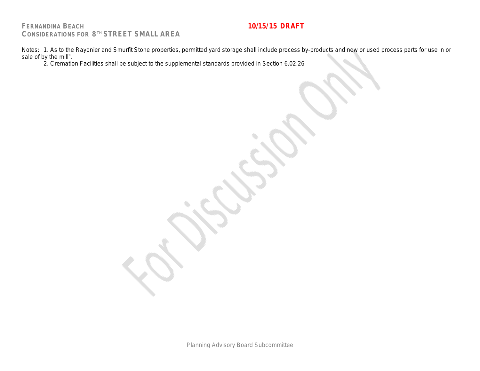Notes: 1. As to the Rayonier and Smurfit Stone properties, permitted yard storage shall include process by-products and new or used process parts for use in or sale of by the mill".

2. Cremation Facilities shall be subject to the supplemental standards provided in Section 6.02.26